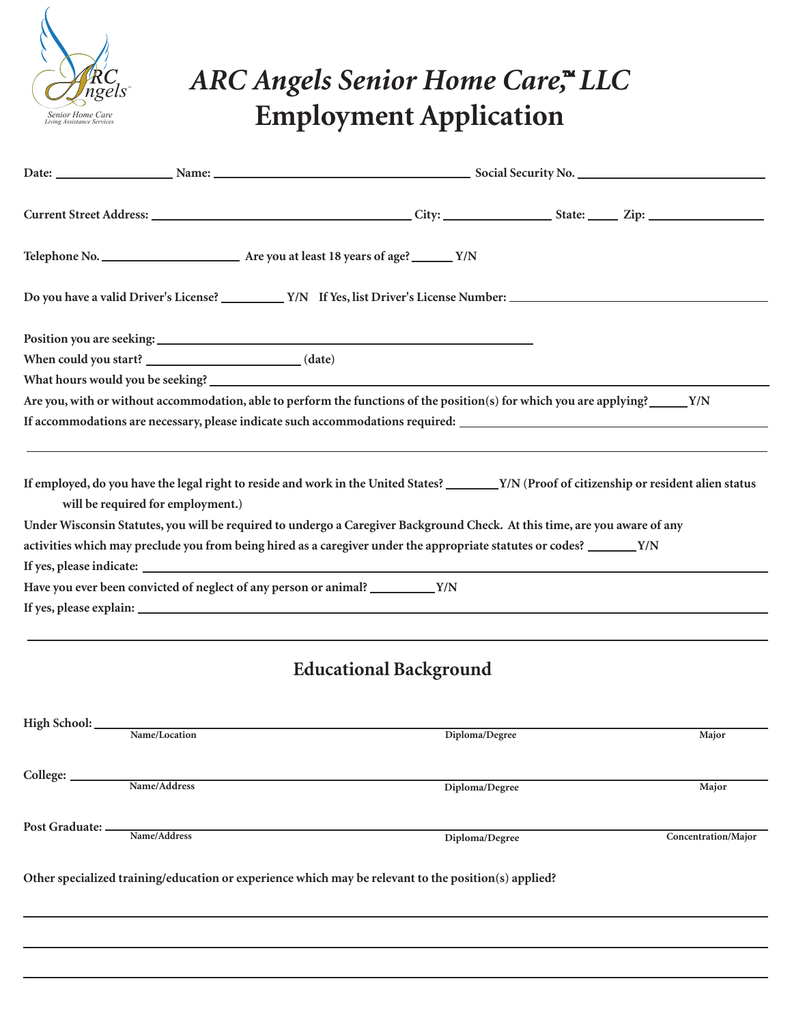

## **ARC Angels Senior Home Care,<sup>"</sup> LLC Employment Application**

| Do you have a valid Driver's License? V/N If Yes, list Driver's License Number:                                                                                                                                                                                                                                                                                                                                                                                                                                            |                               |  |       |
|----------------------------------------------------------------------------------------------------------------------------------------------------------------------------------------------------------------------------------------------------------------------------------------------------------------------------------------------------------------------------------------------------------------------------------------------------------------------------------------------------------------------------|-------------------------------|--|-------|
|                                                                                                                                                                                                                                                                                                                                                                                                                                                                                                                            |                               |  |       |
| When could you start? _______________________________(date)                                                                                                                                                                                                                                                                                                                                                                                                                                                                |                               |  |       |
| What hours would you be seeking?                                                                                                                                                                                                                                                                                                                                                                                                                                                                                           |                               |  |       |
| Are you, with or without accommodation, able to perform the functions of the position(s) for which you are applying?_____Y/N                                                                                                                                                                                                                                                                                                                                                                                               |                               |  |       |
|                                                                                                                                                                                                                                                                                                                                                                                                                                                                                                                            |                               |  |       |
| If employed, do you have the legal right to reside and work in the United States? ______ Y/N (Proof of citizenship or resident alien status<br>will be required for employment.)<br>Under Wisconsin Statutes, you will be required to undergo a Caregiver Background Check. At this time, are you aware of any<br>activities which may preclude you from being hired as a caregiver under the appropriate statutes or codes? _______Y/N<br>Have you ever been convicted of neglect of any person or animal? __________ Y/N |                               |  |       |
|                                                                                                                                                                                                                                                                                                                                                                                                                                                                                                                            |                               |  |       |
|                                                                                                                                                                                                                                                                                                                                                                                                                                                                                                                            |                               |  |       |
|                                                                                                                                                                                                                                                                                                                                                                                                                                                                                                                            | <b>Educational Background</b> |  |       |
|                                                                                                                                                                                                                                                                                                                                                                                                                                                                                                                            |                               |  |       |
| High School: Name/Location                                                                                                                                                                                                                                                                                                                                                                                                                                                                                                 | Diploma/Degree                |  | Major |

**College: Post Graduate: Name/Address Diploma/Degree Major Name/Address Diploma/Degree Concentration/Major**

**Other specialized training/education or experience which may be relevant to the position(s) applied?**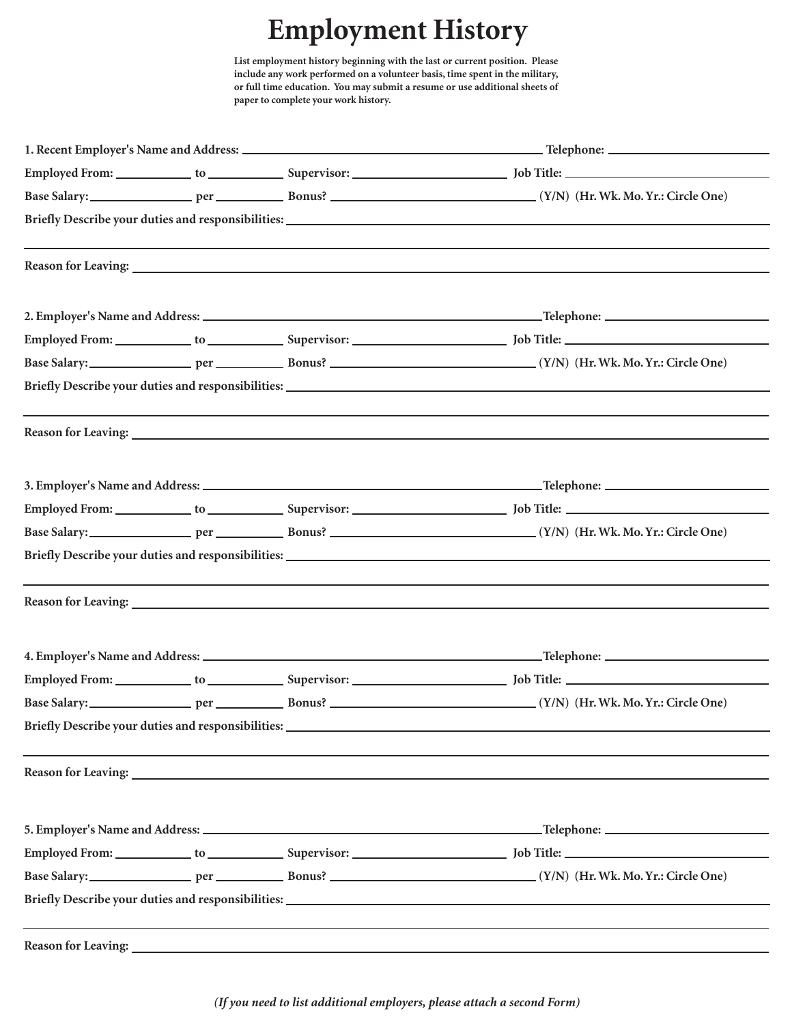## **Employment History**

**List employment history beginning with the last or current position. Please include any work performed on a volunteer basis, time spent in the military, or full time education. You may submit a resume or use additional sheets of paperto complete your work history.**

|                            |  |                                                                                                                                                                                                                                           | ,我们也不会有什么。""我们的人,我们也不会有什么?""我们的人,我们也不会有什么?""我们的人,我们也不会有什么?""我们的人,我们也不会有什么?""我们的人 |  |
|----------------------------|--|-------------------------------------------------------------------------------------------------------------------------------------------------------------------------------------------------------------------------------------------|----------------------------------------------------------------------------------|--|
|                            |  |                                                                                                                                                                                                                                           |                                                                                  |  |
|                            |  |                                                                                                                                                                                                                                           |                                                                                  |  |
|                            |  |                                                                                                                                                                                                                                           |                                                                                  |  |
|                            |  |                                                                                                                                                                                                                                           |                                                                                  |  |
|                            |  | <b>Reason for Leaving:</b> <u>Contract of the contract of the contract of the contract of the contract of the contract of the contract of the contract of the contract of the contract of the contract of the contract of the contrac</u> |                                                                                  |  |
|                            |  |                                                                                                                                                                                                                                           |                                                                                  |  |
|                            |  |                                                                                                                                                                                                                                           |                                                                                  |  |
|                            |  |                                                                                                                                                                                                                                           |                                                                                  |  |
|                            |  |                                                                                                                                                                                                                                           |                                                                                  |  |
|                            |  |                                                                                                                                                                                                                                           |                                                                                  |  |
|                            |  |                                                                                                                                                                                                                                           |                                                                                  |  |
|                            |  |                                                                                                                                                                                                                                           |                                                                                  |  |
|                            |  |                                                                                                                                                                                                                                           |                                                                                  |  |
|                            |  |                                                                                                                                                                                                                                           |                                                                                  |  |
|                            |  |                                                                                                                                                                                                                                           |                                                                                  |  |
| <b>Reason for Leaving:</b> |  |                                                                                                                                                                                                                                           |                                                                                  |  |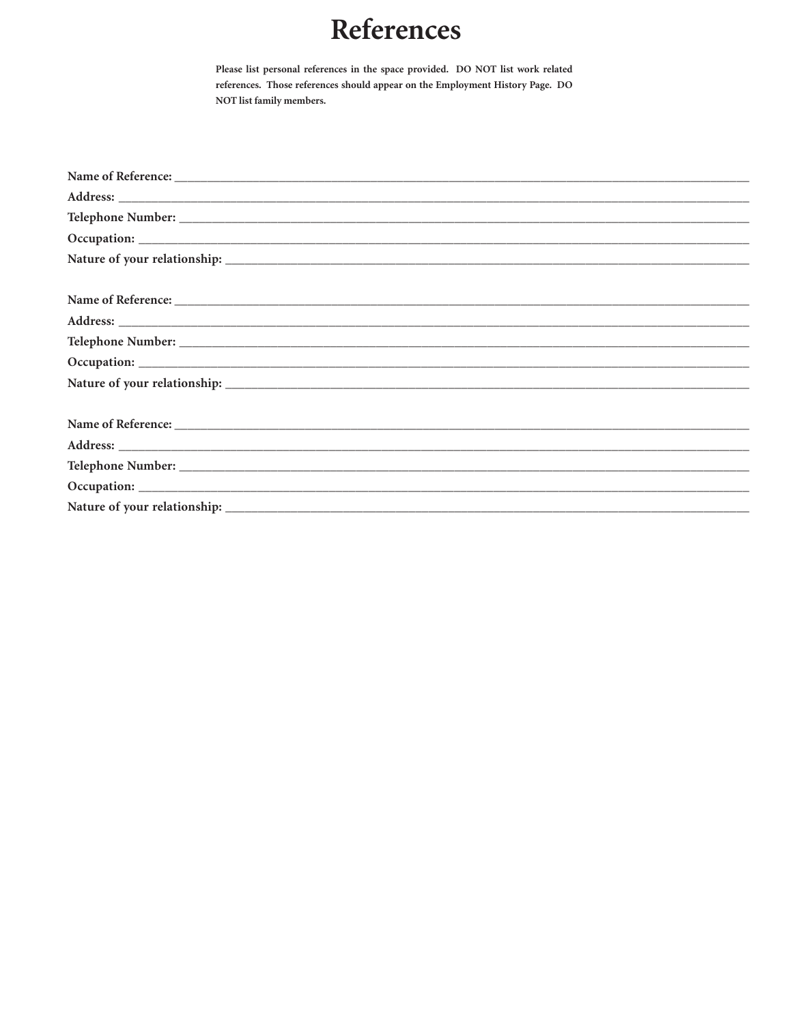## References

Please list personal references in the space provided. DO NOT list work related references. Those references should appear on the Employment History Page. DO NOT list family members.